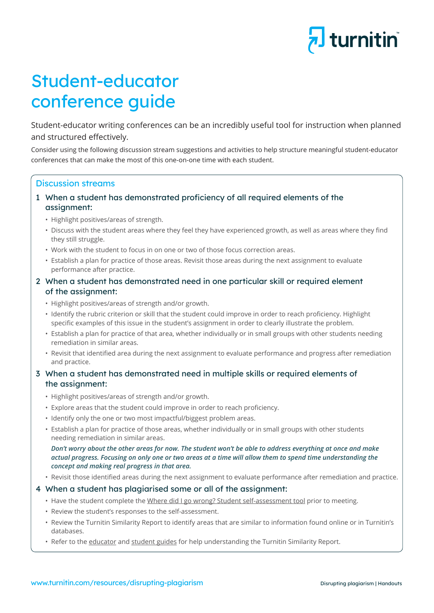

# Student-educator conference guide

Student-educator writing conferences can be an incredibly useful tool for instruction when planned and structured effectively.

Consider using the following discussion stream suggestions and activities to help structure meaningful student-educator conferences that can make the most of this one-on-one time with each student.

## Discussion streams

## 1 When a student has demonstrated proficiency of all required elements of the assignment:

- Highlight positives/areas of strength.
- • Discuss with the student areas where they feel they have experienced growth, as well as areas where they find they still struggle.
- Work with the student to focus in on one or two of those focus correction areas.
- Establish a plan for practice of those areas. Revisit those areas during the next assignment to evaluate performance after practice.

### 2 When a student has demonstrated need in one particular skill or required element of the assignment:

- Highlight positives/areas of strength and/or growth.
- • Identify the rubric criterion or skill that the student could improve in order to reach proficiency. Highlight specific examples of this issue in the student's assignment in order to clearly illustrate the problem.
- Establish a plan for practice of that area, whether individually or in small groups with other students needing remediation in similar areas.
- • Revisit that identified area during the next assignment to evaluate performance and progress after remediation and practice.

## 3 When a student has demonstrated need in multiple skills or required elements of the assignment:

- Highlight positives/areas of strength and/or growth.
- Explore areas that the student could improve in order to reach proficiency.
- Identify only the one or two most impactful/biggest problem areas.
- Establish a plan for practice of those areas, whether individually or in small groups with other students needing remediation in similar areas.

#### *Don't worry about the other areas for now. The student won't be able to address everything at once and make actual progress. Focusing on only one or two areas at a time will allow them to spend time understanding the concept and making real progress in that area.*

 • Revisit those identified areas during the next assignment to evaluate performance after remediation and practice.

## 4 When a student has plagiarised some or all of the assignment:

- Have the student complete the [Where did I go wrong? Student self-assessment tool](https://www.turnitin.com/lessons/where-did-i-go-wrong-student-self-assessment-tool) prior to meeting.
- Review the student's responses to the self-assessment.
- • Review the Turnitin Similarity Report to identify areas that are similar to information found online or in Turnitin's databases.
- Refer to the educator and s[tudent guides](https://www.turnitin.com/papers/understanding-the-turnitin-similarity-report-student-guide) for help understanding the Turnitin Similarity Report.